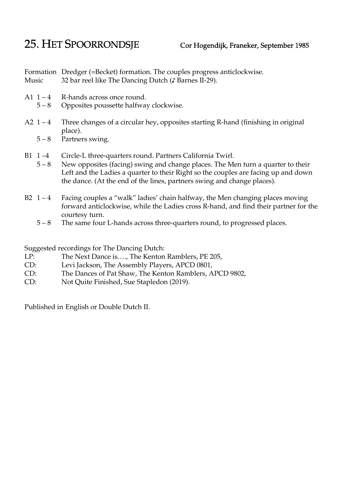## 25. HET SPOORRONDSJE Cor Hogendijk, Franeker, September 1985

Formation Dredger (=Becket) formation. The couples progress anticlockwise. Music 32 bar reel like The Dancing Dutch (♪ Barnes II-29).

- A1  $1 4$  R-hands across once round.
	- 5 8 Opposites poussette halfway clockwise.
- A2  $1 4$  Three changes of a circular hey, opposites starting R-hand (finishing in original place).
	- 5 8 Partners swing.
- B1 1 –4 Circle-L three-quarters round. Partners California Twirl.
	- 5 8 New opposites (facing) swing and change places. The Men turn a quarter to their Left and the Ladies a quarter to their Right so the couples are facing up and down the dance. (At the end of the lines, partners swing and change places).
- B2  $1 4$  Facing couples a "walk" ladies' chain halfway, the Men changing places moving forward anticlockwise, while the Ladies cross R-hand, and find their partner for the courtesy turn.
	- 5 8 The same four L-hands across three-quarters round, to progressed places.

Suggested recordings for The Dancing Dutch:

- LP: The Next Dance is...., The Kenton Ramblers, PE 205,
- CD: Levi Jackson, The Assembly Players, APCD 0801,
- CD: The Dances of Pat Shaw, The Kenton Ramblers, APCD 9802,
- CD: Not Quite Finished, Sue Stapledon (2019).

Published in English or Double Dutch II.